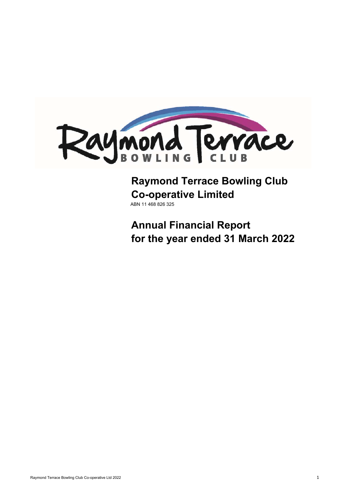

# **Raymond Terrace Bowling Club Co-operative Limited** ABN 11 468 826 325

**Annual Financial Report for the year ended 31 March 2022**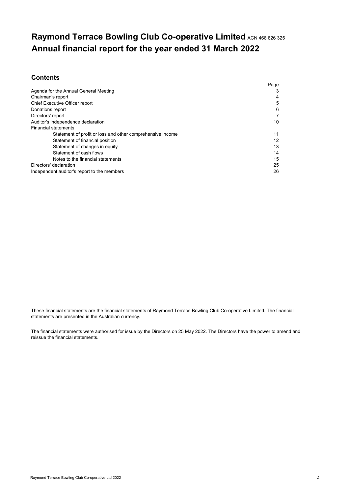# **Raymond Terrace Bowling Club Co-operative Limited** ACN 468 826 325 **Annual financial report for the year ended 31 March 2022**

# **Contents**

|                                                            | Page |
|------------------------------------------------------------|------|
| Agenda for the Annual General Meeting                      | 3    |
| Chairman's report                                          | 4    |
| Chief Executive Officer report                             | 5    |
| Donations report                                           | 6    |
| Directors' report                                          | 7    |
| Auditor's independence declaration                         | 10   |
| <b>Financial statements</b>                                |      |
| Statement of profit or loss and other comprehensive income | 11   |
| Statement of financial position                            | 12   |
| Statement of changes in equity                             | 13   |
| Statement of cash flows                                    | 14   |
| Notes to the financial statements                          | 15   |
| Directors' declaration                                     | 25   |
| Independent auditor's report to the members                | 26   |

These financial statements are the financial statements of Raymond Terrace Bowling Club Co-operative Limited. The financial statements are presented in the Australian currency.

The financial statements were authorised for issue by the Directors on 25 May 2022. The Directors have the power to amend and reissue the financial statements.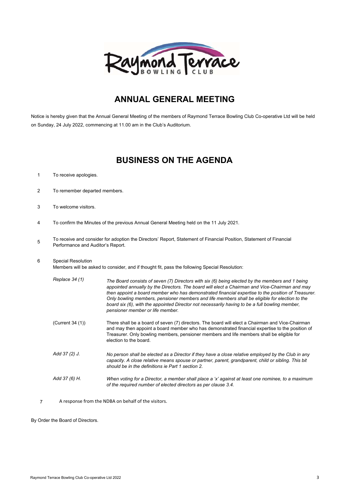

# **ANNUAL GENERAL MEETING**

Notice is hereby given that the Annual General Meeting of the members of Raymond Terrace Bowling Club Co-operative Ltd will be held on Sunday, 24 July 2022, commencing at 11.00 am in the Club's Auditorium.

# **BUSINESS ON THE AGENDA**

- 1 To receive apologies.
- 2 To remember departed members.
- 3 To welcome visitors.
- 4 To confirm the Minutes of the previous Annual General Meeting held on the 11 July 2021.
- 5 To receive and consider for adoption the Directors' Report, Statement of Financial Position, Statement of Financial Performance and Auditor's Report.
- 6 Special Resolution

Members will be asked to consider, and if thought fit, pass the following Special Resolution:

| Replace 34 (1)   | The Board consists of seven (7) Directors with six (6) being elected by the members and 1 being<br>appointed annually by the Directors. The board will elect a Chairman and Vice-Chairman and may<br>then appoint a board member who has demonstrated financial expertise to the position of Treasurer.<br>Only bowling members, pensioner members and life members shall be eligible for election to the<br>board six (6), with the appointed Director not necessarily having to be a full bowling member.<br>pensioner member or life member. |
|------------------|-------------------------------------------------------------------------------------------------------------------------------------------------------------------------------------------------------------------------------------------------------------------------------------------------------------------------------------------------------------------------------------------------------------------------------------------------------------------------------------------------------------------------------------------------|
| (Current 34 (1)) | There shall be a board of seven (7) directors. The board will elect a Chairman and Vice-Chairman<br>and may then appoint a board member who has demonstrated financial expertise to the position of<br>Treasurer. Only bowling members, pensioner members and life members shall be eligible for<br>election to the board.                                                                                                                                                                                                                      |
| Add 37 (2) J.    | No person shall be elected as a Director if they have a close relative employed by the Club in any<br>capacity. A close relative means spouse or partner, parent, grandparent, child or sibling. This bit<br>should be in the definitions ie Part 1 section 2.                                                                                                                                                                                                                                                                                  |
| Add 37 (6) H.    | When voting for a Director, a member shall place a 'x' against at least one nominee, to a maximum<br>of the required number of elected directors as per clause 3.4.                                                                                                                                                                                                                                                                                                                                                                             |

7 A response from the NDBA on behalf of the visitors.

By Order the Board of Directors.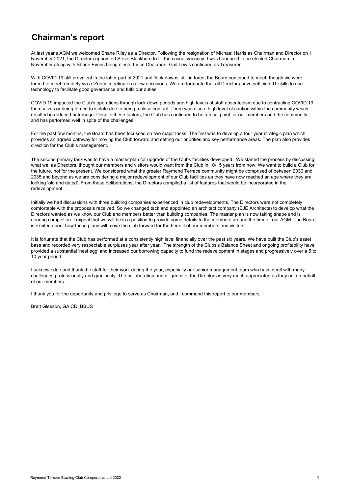# **Chairman's report**

At last year's AGM we welcomed Shane Riley as a Director. Following the resignation of Michael Harris as Chairman and Director on 1 November 2021, the Directors appointed Steve Blackburn to fill the casual vacancy. I was honoured to be elected Chairman in November along with Shane Evans being elected Vice Chairman. Gail Lewis continued as Treasurer.

With COVID 19 still prevalent in the latter part of 2021 and 'lock-downs' still in force, the Board continued to meet, though we were forced to meet remotely via a 'Zoom' meeting on a few occasions. We are fortunate that all Directors have sufficient IT skills to use technology to facilitate good governance and fulfil our duties.

COVID 19 impacted the Club's operations through lock-down periods and high levels of staff absenteeism due to contracting COVID 19 themselves or being forced to isolate due to being a close contact. There was also a high level of caution within the community which resulted in reduced patronage. Despite these factors, the Club has continued to be a focal point for our members and the community and has performed well in spite of the challenges.

For the past few months, the Board has been focussed on two major tasks. The first was to develop a four year strategic plan which provides an agreed pathway for moving the Club forward and setting our priorities and key performance areas. The plan also provides direction for the Club's management.

The second primary task was to have a master plan for upgrade of the Clubs facilities developed. We started the process by discussing what we, as Directors, thought our members and visitors would want from the Club in 10-15 years from now. We want to build a Club for the future, not for the present. We considered what the greater Raymond Terrace community might be comprised of between 2030 and 2035 and beyond as we are considering a major redevelopment of our Club facilities as they have now reached an age where they are looking 'old and dated'. From these deliberations, the Directors compiled a list of features that would be incorporated in the redevelopment.

Initially we had discussions with three building companies experienced in club redevelopments. The Directors were not completely comfortable with the proposals received. So we changed tack and appointed an architect company (EJE Architects) to develop what the Directors wanted as we know our Club and members better than building companies. The master plan is now taking shape and is nearing completion. I expect that we will be in a position to provide some details to the members around the time of our AGM. The Board is excited about how these plans will move the club forward for the benefit of our members and visitors.

It is fortunate that the Club has performed at a consistently high level financially over the past six years. We have built the Club's asset base and recorded very respectable surpluses year after year. The strength of the Clubs's Balance Sheet and ongoing profitability have provided a substantial 'nest egg' and increased our borrowing capacity to fund the redevelopment in stages and progressively over a 5 to 10 year period.

I acknowledge and thank the staff for their work during the year, especially our senior management team who have dealt with many challenges professionally and graciously. The collaboration and diligence of the Directors is very much appreciated as they act on behalf of our members.

I thank you for the opportunity and privilege to serve as Chairman, and I commend this report to our members.

Brett Gleeson, GAICD, BBUS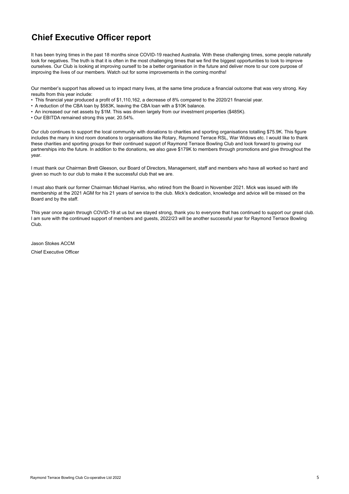# **Chief Executive Officer report**

It has been trying times in the past 18 months since COVID-19 reached Australia. With these challenging times, some people naturally look for negatives. The truth is that it is often in the most challenging times that we find the biggest opportunities to look to improve ourselves. Our Club is looking at improving ourself to be a better organisation in the future and deliver more to our core purpose of improving the lives of our members. Watch out for some improvements in the coming months!

Our member's support has allowed us to impact many lives, at the same time produce a financial outcome that was very strong. Key results from this year include:

- This financial year produced a profit of \$1,110,162, a decrease of 8% compared to the 2020/21 financial year.
- A reduction of the CBA loan by \$583K, leaving the CBA loan with a \$10K balance.
- An increased our net assets by \$1M. This was driven largely from our investment properties (\$485K).
- Our EBITDA remained strong this year, 20.54%.

Our club continues to support the local community with donations to charities and sporting organisations totalling \$75.9K. This figure includes the many in kind room donations to organisations like Rotary, Raymond Terrace RSL, War Widows etc. I would like to thank these charities and sporting groups for their continued support of Raymond Terrace Bowling Club and look forward to growing our partnerships into the future. In addition to the donations, we also gave \$179K to members through promotions and give throughout the year.

I must thank our Chairman Brett Gleeson, our Board of Directors, Management, staff and members who have all worked so hard and given so much to our club to make it the successful club that we are.

I must also thank our former Chairman Michael Harriss, who retired from the Board in November 2021. Mick was issued with life membership at the 2021 AGM for his 21 years of service to the club. Mick's dedication, knowledge and advice will be missed on the Board and by the staff.

This year once again through COVID-19 at us but we stayed strong, thank you to everyone that has continued to support our great club. I am sure with the continued support of members and guests, 2022/23 will be another successful year for Raymond Terrace Bowling Club.

Jason Stokes ACCM Chief Executive Officer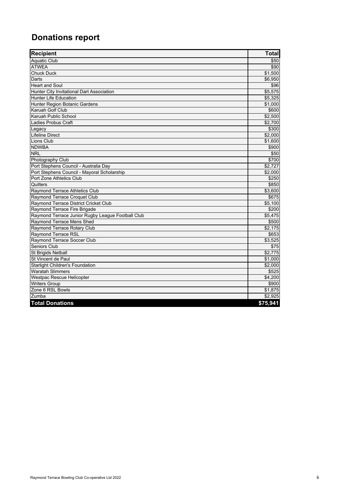# **Donations report**

| <b>Recipient</b>                                  | <b>Total</b> |
|---------------------------------------------------|--------------|
| <b>Aquatic Club</b>                               | \$50         |
| <b>ATWEA</b>                                      | \$90         |
| <b>Chuck Duck</b>                                 | \$1,500      |
| Darts                                             | \$6,950      |
| <b>Heart and Soul</b>                             | \$96         |
| Hunter City Invitational Dart Association         | \$5,575      |
| <b>Hunter Life Education</b>                      | \$5.325      |
| Hunter Region Botanic Gardens                     | \$1,000      |
| Karuah Golf Club                                  | \$600        |
| Karuah Public School                              | \$2,500      |
| Ladies Probus Craft                               | \$2.700      |
| Legacy                                            | \$300        |
| <b>Lifeline Direct</b>                            | \$2.000      |
| Lions Club                                        | \$1,600      |
| <b>NDWBA</b>                                      | \$900        |
| <b>NRL</b>                                        | \$50         |
| Photography Club                                  | \$700        |
| Port Stephens Council - Australia Day             | \$2,727      |
| Port Stephens Council - Mayoral Scholarship       | \$2.000      |
| Port Zone Athletics Club                          | \$250        |
| <b>Quilters</b>                                   | \$850        |
| Raymond Terrace Athletics Club                    | \$3,600      |
| Raymond Terrace Croquet Club                      | \$675        |
| Raymond Terrace District Cricket Club             | \$5,100      |
| Raymond Terrace Fire Brigade                      | \$200        |
| Raymond Terrace Junior Rugby League Football Club | \$5,475      |
| Raymond Terrace Mens Shed                         | \$500        |
| Raymond Terrace Rotary Club                       | \$2,175      |
| Raymond Terrace RSL                               | \$653        |
| Raymond Terrace Soccer Club                       | \$3,525      |
| Seniors Club                                      | \$75         |
| St Brigids Netball                                | \$2,775      |
| St Vincent de Paul                                | \$1,000      |
| <b>Starlight Children's Foundation</b>            | \$2,000      |
| <b>Waratah Slimmers</b>                           | \$525        |
| Westpac Rescue Helicopter                         | \$4,200      |
| <b>Writers Group</b>                              | \$900        |
| Zone 6 RSL Bowls                                  | \$1,875      |
| Zumba                                             | \$2.925      |
| <b>Total Donations</b>                            | \$75,941     |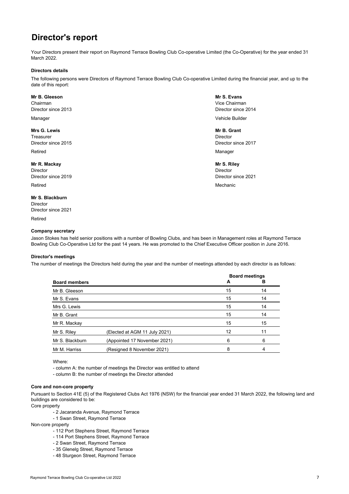# **Director's report**

Your Directors present their report on Raymond Terrace Bowling Club Co-operative Limited (the Co-Operative) for the year ended 31 March 2022.

#### **Directors details**

The following persons were Directors of Raymond Terrace Bowling Club Co-operative Limited during the financial year, and up to the date of this report:

#### **Mr B. Gleeson Mr S. Evans**

Chairman Vice Chairman Director since 2013 Director since 2014

#### **Mrs G. Lewis Mr B. Grant**

**Treasurer Director** Director Communication of the Communication of the Communication of the Director Director Director since 2015 Director since 2017

**Mr R. Mackay Mr S. Riley** Director Director Director since 2019 Director since 2021

Retired **Mechanic** Mechanic Community of the Mechanic Community of the Mechanic Community of the Mechanic Community of the Mechanic Community of the Mechanic Community of the Mechanic Community of the Mechanic Community of

#### **Mr S. Blackburn**

Director Director since 2021

Retired

#### **Company secretary**

Manager Vehicle Builder

Retired **Manager (1996)** And the set of the set of the set of the set of the set of the set of the set of the set of the set of the set of the set of the set of the set of the set of the set of the set of the set of the se

Jason Stokes has held senior positions with a number of Bowling Clubs, and has been in Management roles at Raymond Terrace Bowling Club Co-Operative Ltd for the past 14 years. He was promoted to the Chief Executive Officer position in June 2016.

#### **Director's meetings**

The number of meetings the Directors held during the year and the number of meetings attended by each director is as follows:

|                      |                               | <b>Board meetings</b> |    |  |
|----------------------|-------------------------------|-----------------------|----|--|
| <b>Board members</b> |                               | A                     | в  |  |
| Mr B. Gleeson        |                               | 15                    | 14 |  |
| Mr S. Evans          |                               | 15                    | 14 |  |
| Mrs G. Lewis         |                               | 15                    | 14 |  |
| Mr B. Grant          |                               | 15                    | 14 |  |
| Mr R. Mackay         |                               | 15                    | 15 |  |
| Mr S. Riley          | (Elected at AGM 11 July 2021) | 12                    | 11 |  |
| Mr S. Blackburn      | (Appointed 17 November 2021)  | 6                     | 6  |  |
| Mr M. Harriss        | (Resigned 8 November 2021)    | 8                     | 4  |  |
|                      |                               |                       |    |  |

Where:

- column A: the number of meetings the Director was entitled to attend

- column B: the number of meetings the Director attended

#### **Core and non-core property**

Pursuant to Section 41E (5) of the Registered Clubs Act 1976 (NSW) for the financial year ended 31 March 2022, the following land and buildings are considered to be:

Core property

- 2 Jacaranda Avenue, Raymond Terrace
- 1 Swan Street, Raymond Terrace

Non-core property

- 112 Port Stephens Street, Raymond Terrace
- 114 Port Stephens Street, Raymond Terrace
- 2 Swan Street, Raymond Terrace
- 35 Glenelg Street, Raymond Terrace
- 48 Sturgeon Street, Raymond Terrace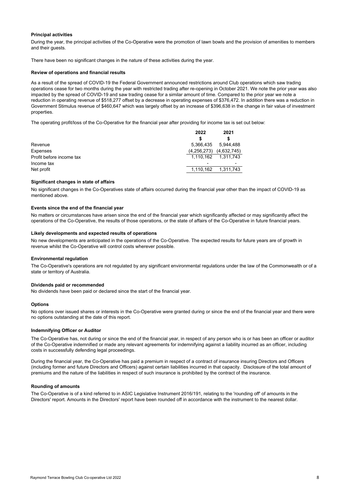#### **Principal activities**

During the year, the principal activities of the Co-Operative were the promotion of lawn bowls and the provision of amenities to members and their quests.

There have been no significant changes in the nature of these activities during the year.

#### **Review of operations and financial results**

As a result of the spread of COVID-19 the Federal Government announced restrictions around Club operations which saw trading operations cease for two months during the year with restricted trading after re-opening in October 2021. We note the prior year was also impacted by the spread of COVID-19 and saw trading cease for a similar amount of time. Compared to the prior year we note a reduction in operating revenue of \$518,277 offset by a decrease in operating expenses of \$376,472. In addition there was a reduction in Government Stimulus revenue of \$460,647 which was largely offset by an increase of \$396,638 in the change in fair value of investment properties.

The operating profit/loss of the Co-Operative for the financial year after providing for income tax is set out below:

|                          | 2022        | 2021                     |
|--------------------------|-------------|--------------------------|
|                          |             |                          |
| Revenue                  | 5.366.435   | 5.944.488                |
| Expenses                 | (4,256,273) | (4,632,745)              |
| Profit before income tax | 1.110.162   | 1.311.743                |
| Income tax               |             | $\overline{\phantom{0}}$ |
| Net profit               | 1.110.162   | 1.311.743                |
|                          |             |                          |

#### **Significant changes in state of affairs**

No significant changes in the Co-Operatives state of affairs occurred during the financial year other than the impact of COVID-19 as mentioned above.

#### **Events since the end of the financial year**

No matters or circumstances have arisen since the end of the financial year which significantly affected or may significantly affect the operations of the Co-Operative, the results of those operations, or the state of affairs of the Co-Operative in future financial years.

#### **Likely developments and expected results of operations**

No new developments are anticipated in the operations of the Co-Operative. The expected results for future years are of growth in revenue whilst the Co-Operative will control costs wherever possible.

#### **Environmental regulation**

The Co-Operative's operations are not regulated by any significant environmental regulations under the law of the Commonwealth or of a state or territory of Australia.

#### **Dividends paid or recommended**

No dividends have been paid or declared since the start of the financial year.

#### **Options**

No options over issued shares or interests in the Co-Operative were granted during or since the end of the financial year and there were no options outstanding at the date of this report.

#### **Indemnifying Officer or Auditor**

The Co-Operative has, not during or since the end of the financial year, in respect of any person who is or has been an officer or auditor of the Co-Operative indemnified or made any relevant agreements for indemnifying against a liability incurred as an officer, including costs in successfully defending legal proceedings.

During the financial year, the Co-Operative has paid a premium in respect of a contract of insurance insuring Directors and Officers (including former and future Directors and Officers) against certain liabilities incurred in that capacity. Disclosure of the total amount of premiums and the nature of the liabilities in respect of such insurance is prohibited by the contract of the insurance.

#### **Rounding of amounts**

The Co-Operative is of a kind referred to in ASIC Legislative Instrument 2016/191, relating to the 'rounding off' of amounts in the Directors' report. Amounts in the Directors' report have been rounded off in accordance with the instrument to the nearest dollar.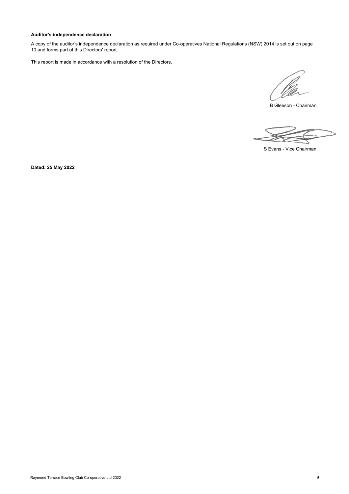# **Auditor's independence declaration**

A copy of the auditor's independence declaration as required under Co-operatives National Regulations (NSW) 2014 is set out on page 10 and forms part of this Directors' report.

This report is made in accordance with a resolution of the Directors.

B Gleeson - Chairman

S Evans - Vice Chairman

**Dated: 25 May 2022**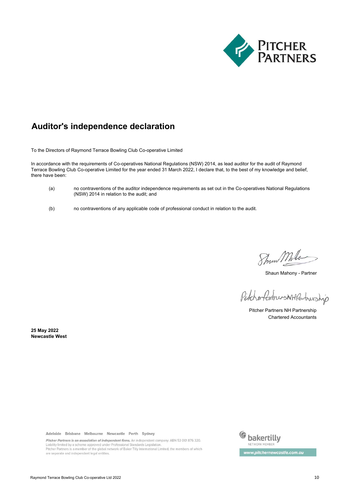

# **Auditor's independence declaration**

To the Directors of Raymond Terrace Bowling Club Co-operative Limited

In accordance with the requirements of Co-operatives National Regulations (NSW) 2014, as lead auditor for the audit of Raymond Terrace Bowling Club Co-operative Limited for the year ended 31 March 2022, I declare that, to the best of my knowledge and belief, there have been:

- (a) no contraventions of the auditor independence requirements as set out in the Co-operatives National Regulations (NSW) 2014 in relation to the audit; and
- (b) no contraventions of any applicable code of professional conduct in relation to the audit.

Show Mhlo

Shaun Mahony - Partner

PitcherfertnersNHPartnership

Pitcher Partners NH Partnership Chartered Accountants

**Newcastle West 25 May 2022**

Adelaide Brisbane Melbourne Newcastle Perth Sydney

Pitcher Partners is an association of independent firms. An independent company. ABN 53 001 876 320. Liability limited by a scheme approved under Professional Standards Legislation. Pitcher Partners is a member of the global network of Baker Tilly International Limited, the members of which<br>are separate and independent legal entities.

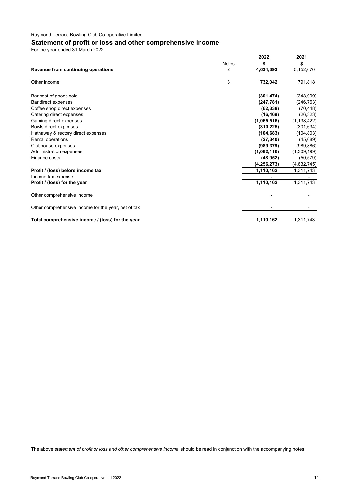# **Statement of profit or loss and other comprehensive income**

For the year ended 31 March 2022

|                                                     | 2022          | 2021          |
|-----------------------------------------------------|---------------|---------------|
| <b>Notes</b>                                        | \$            | \$            |
| 2<br>Revenue from continuing operations             | 4,634,393     | 5,152,670     |
| 3<br>Other income                                   | 732,042       | 791,818       |
| Bar cost of goods sold                              | (301, 474)    | (348,999)     |
| Bar direct expenses                                 | (247, 781)    | (246, 763)    |
| Coffee shop direct expenses                         | (62, 338)     | (70, 448)     |
| Catering direct expenses                            | (16, 469)     | (26, 323)     |
| Gaming direct expenses                              | (1,065,516)   | (1, 138, 422) |
| Bowls direct expenses                               | (310, 225)    | (301, 634)    |
| Hathaway & rectory direct expenses                  | (104, 683)    | (104, 803)    |
| Rental operations                                   | (27, 340)     | (45, 689)     |
| Clubhouse expenses                                  | (989, 379)    | (989, 886)    |
| Administration expenses                             | (1,082,116)   | (1,309,199)   |
| Finance costs                                       | (48, 952)     | (50, 579)     |
|                                                     | (4, 256, 273) | (4,632,745)   |
| Profit / (loss) before income tax                   | 1,110,162     | 1,311,743     |
| Income tax expense                                  |               |               |
| Profit / (loss) for the year                        | 1,110,162     | 1,311,743     |
| Other comprehensive income                          |               |               |
| Other comprehensive income for the year, net of tax |               |               |
| Total comprehensive income / (loss) for the year    | 1,110,162     | 1,311,743     |

The above *statement of profit or loss and other comprehensive income* should be read in conjunction with the accompanying notes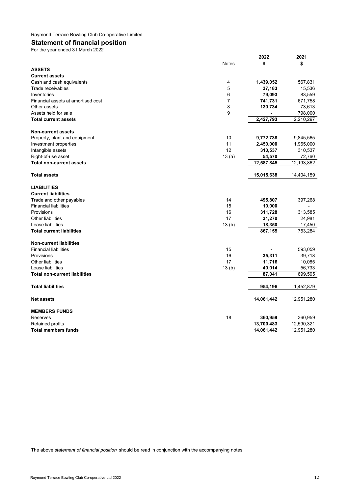# **Statement of financial position**

For the year ended 31 March 2022

|                                      |              | 2022       | 2021       |
|--------------------------------------|--------------|------------|------------|
|                                      | <b>Notes</b> | \$         | \$         |
| <b>ASSETS</b>                        |              |            |            |
| <b>Current assets</b>                |              |            |            |
| Cash and cash equivalents            | 4            | 1,439,052  | 567,831    |
| Trade receivables                    | 5            | 37,183     | 15,536     |
| Inventories                          | 6            | 79,093     | 83,559     |
| Financial assets at amortised cost   | 7            | 741,731    | 671,758    |
| Other assets                         | 8            | 130,734    | 73,613     |
| Assets held for sale                 | 9            |            | 798,000    |
| <b>Total current assets</b>          |              | 2,427,793  | 2,210,297  |
| <b>Non-current assets</b>            |              |            |            |
| Property, plant and equipment        | 10           | 9,772,738  | 9,845,565  |
| Investment properties                | 11           | 2,450,000  | 1,965,000  |
| Intangible assets                    | 12           | 310,537    | 310,537    |
| Right-of-use asset                   | 13(a)        | 54,570     | 72,760     |
| <b>Total non-current assets</b>      |              | 12,587,845 | 12,193,862 |
| <b>Total assets</b>                  |              | 15,015,638 | 14,404,159 |
| <b>LIABILITIES</b>                   |              |            |            |
| <b>Current liabilities</b>           |              |            |            |
| Trade and other payables             | 14           | 495,807    | 397,268    |
| <b>Financial liabilities</b>         | 15           | 10,000     |            |
| Provisions                           | 16           | 311,728    | 313,585    |
| Other liabilities                    | 17           | 31,270     | 24,981     |
| Lease liabilities                    | 13(b)        | 18,350     | 17,450     |
| <b>Total current liabilities</b>     |              | 867,155    | 753,284    |
| <b>Non-current liabilities</b>       |              |            |            |
| <b>Financial liabilities</b>         | 15           |            | 593,059    |
| Provisions                           | 16           | 35,311     | 39,718     |
| Other liabilities                    | 17           | 11,716     | 10,085     |
| Lease liabilities                    | 13(b)        | 40,014     | 56,733     |
| <b>Total non-current liabilities</b> |              | 87,041     | 699,595    |
| <b>Total liabilities</b>             |              | 954,196    | 1,452,879  |
| <b>Net assets</b>                    |              | 14,061,442 | 12,951,280 |
| <b>MEMBERS FUNDS</b>                 |              |            |            |
| Reserves                             | 18           | 360,959    | 360,959    |
| <b>Retained profits</b>              |              | 13,700,483 | 12,590,321 |
| <b>Total members funds</b>           |              | 14,061,442 | 12,951,280 |
|                                      |              |            |            |

The above *statement of financial position* should be read in conjunction with the accompanying notes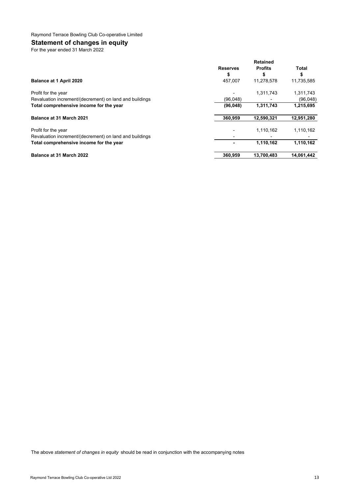# **Statement of changes in equity**

For the year ended 31 March 2022

|                                                         | <b>Retained</b> |                |            |
|---------------------------------------------------------|-----------------|----------------|------------|
|                                                         | <b>Reserves</b> | <b>Profits</b> | Total      |
|                                                         | \$              | S              | \$         |
| Balance at 1 April 2020                                 | 457.007         | 11.278.578     | 11,735,585 |
| Profit for the year                                     |                 | 1,311,743      | 1,311,743  |
| Revaluation increment/(decrement) on land and buildings | (96.048)        |                | (96,048)   |
| Total comprehensive income for the year                 | (96,048)        | 1,311,743      | 1,215,695  |
| Balance at 31 March 2021                                | 360.959         | 12,590,321     | 12,951,280 |
| Profit for the year                                     |                 | 1,110,162      | 1,110,162  |
| Revaluation increment/(decrement) on land and buildings |                 |                |            |
| Total comprehensive income for the year                 |                 | 1,110,162      | 1,110,162  |
| <b>Balance at 31 March 2022</b>                         | 360,959         | 13,700,483     | 14,061,442 |

The above *statement of changes in equity* should be read in conjunction with the accompanying notes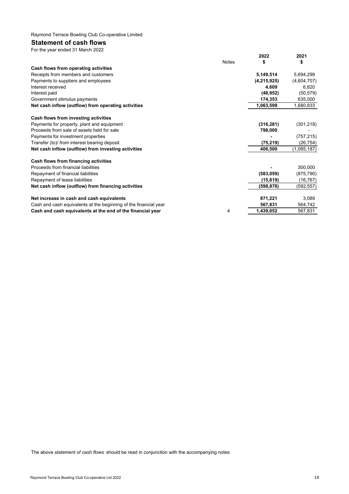# **Statement of cash flows**

| For the year ended 31 March 2022                                 |              |               |             |
|------------------------------------------------------------------|--------------|---------------|-------------|
|                                                                  |              | 2022          | 2021        |
|                                                                  | <b>Notes</b> | \$            | \$          |
| Cash flows from operating activities                             |              |               |             |
| Receipts from members and customers                              |              | 5,149,514     | 5,694,299   |
| Payments to suppliers and employees                              |              | (4, 215, 925) | (4,604,707) |
| Interest received                                                |              | 4,609         | 6,820       |
| Interest paid                                                    |              | (48, 952)     | (50, 579)   |
| Government stimulus payments                                     |              | 174,353       | 635,000     |
| Net cash inflow (outflow) from operating activities              |              | 1,063,599     | 1,680,833   |
| Cash flows from investing activities                             |              |               |             |
| Payments for property, plant and equipment                       |              | (316, 281)    | (301, 218)  |
| Proceeds from sale of assets held for sale                       |              | 798,000       |             |
| Payments for investment properties                               |              |               | (757, 215)  |
| Transfer (to)/ from interest bearing deposit                     |              | (75, 219)     | (26, 754)   |
| Net cash inflow (outflow) from investing activities              |              | 406,500       | (1,085,187) |
| Cash flows from financing activities                             |              |               |             |
| Proceeds from financial liabilities                              |              |               | 300,000     |
| Repayment of financial liabilities                               |              | (583, 059)    | (875, 790)  |
| Repayment of lease liabilities                                   |              | (15, 819)     | (16, 767)   |
| Net cash inflow (outflow) from financing activities              |              | (598,878)     | (592,557)   |
| Net increase in cash and cash equivalents                        |              | 871,221       | 3,089       |
| Cash and cash equivalents at the beginning of the financial year |              | 567,831       | 564,742     |
| Cash and cash equivalents at the end of the financial year       | 4            | 1,439,052     | 567,831     |

The above *statement of cash flows* should be read in conjunction with the accompanying notes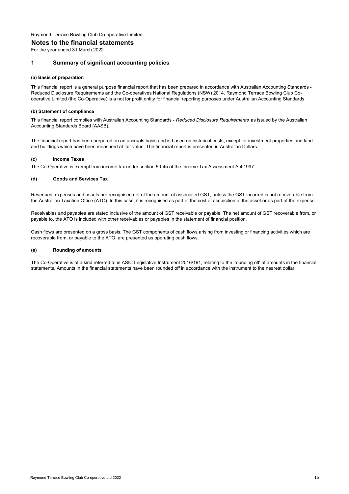#### **Notes to the financial statements**

For the year ended 31 March 2022

### **1 Summary of significant accounting policies**

#### **(a) Basis of preparation**

This financial report is a general purpose financial report that has been prepared in accordance with Australian Accounting Standards - Reduced Disclosure Requirements and the Co-operatives National Regulations (NSW) 2014. Raymond Terrace Bowling Club Cooperative Limited (the Co-Operative) is a not for profit entity for financial reporting purposes under Australian Accounting Standards.

#### **(b) Statement of compliance**

This financial report complies with Australian Accounting Standards - *Reduced Disclosure Requirements* as issued by the Australian Accounting Standards Board (AASB).

The financial report has been prepared on an accruals basis and is based on historical costs, except for investment properties and land and buildings which have been measured at fair value. The financial report is presented in Australian Dollars.

#### **(c) Income Taxes**

The Co-Operative is exempt from income tax under section 50-45 of the Income Tax Assessment Act 1997.

#### **(d) Goods and Services Tax**

Revenues, expenses and assets are recognised net of the amount of associated GST, unless the GST incurred is not recoverable from the Australian Taxation Office (ATO). In this case, it is recognised as part of the cost of acquisition of the asset or as part of the expense.

Receivables and payables are stated inclusive of the amount of GST receivable or payable. The net amount of GST recoverable from, or payable to, the ATO is included with other receivables or payables in the statement of financial position.

Cash flows are presented on a gross basis. The GST components of cash flows arising from investing or financing activities which are recoverable from, or payable to the ATO, are presented as operating cash flows.

#### **(e) Rounding of amounts**

The Co-Operative is of a kind referred to in ASIC Legislative Instrument 2016/191, relating to the 'rounding off' of amounts in the financial statements. Amounts in the financial statements have been rounded off in accordance with the instrument to the nearest dollar.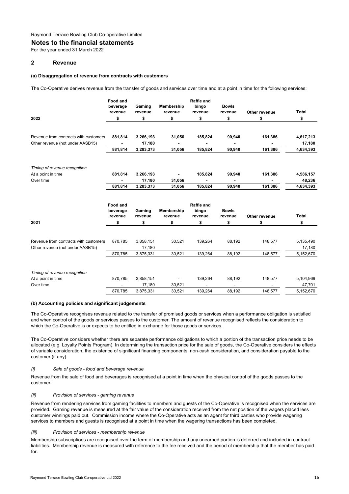#### **Notes to the financial statements**

For the year ended 31 March 2022

### **2 Revenue**

#### **(a) Disaggregation of revenue from contracts with customers**

The Co-Operative derives revenue from the transfer of goods and services over time and at a point in time for the following services:

|                                                     | Food and<br>beverage<br>revenue | Gaming<br>revenue | Membership<br>revenue | <b>Raffle and</b><br>bingo<br>revenue | <b>Bowls</b><br>revenue | Other revenue | <b>Total</b> |
|-----------------------------------------------------|---------------------------------|-------------------|-----------------------|---------------------------------------|-------------------------|---------------|--------------|
| 2022                                                | \$                              | \$                | \$                    | \$                                    | \$                      | \$            | \$           |
|                                                     |                                 |                   |                       |                                       |                         |               |              |
| Revenue from contracts with customers               | 881,814                         | 3,266,193         | 31,056                | 185,824                               | 90,940                  | 161,386       | 4,617,213    |
| Other revenue (not under AASB15)                    |                                 | 17,180            |                       |                                       |                         |               | 17,180       |
|                                                     | 881,814                         | 3,283,373         | 31,056                | 185,824                               | 90,940                  | 161,386       | 4,634,393    |
| Timing of revenue recognition                       |                                 |                   |                       |                                       |                         |               |              |
| At a point in time                                  | 881,814                         | 3,266,193         |                       | 185,824                               | 90,940                  | 161,386       | 4,586,157    |
| Over time                                           |                                 | 17,180            | 31,056                | ٠                                     |                         |               | 48,236       |
|                                                     | 881,814                         | 3,283,373         | 31,056                | 185,824                               | 90,940                  | 161,386       | 4,634,393    |
|                                                     | Food and<br>beverage<br>revenue | Gaming<br>revenue | Membership<br>revenue | <b>Raffle and</b><br>bingo<br>revenue | <b>Bowls</b><br>revenue | Other revenue | <b>Total</b> |
| 2021                                                | \$                              | \$                | \$                    | \$                                    | \$                      | \$            | \$           |
|                                                     |                                 |                   |                       |                                       |                         |               |              |
| Revenue from contracts with customers               | 870,785                         | 3,858,151         | 30,521                | 139,264                               | 88,192                  | 148,577       | 5,135,490    |
| Other revenue (not under AASB15)                    | $\overline{a}$                  | 17,180            |                       | $\overline{\phantom{a}}$              | $\blacksquare$          |               | 17,180       |
|                                                     | 870,785                         | 3,875,331         | 30,521                | 139,264                               | 88,192                  | 148,577       | 5,152,670    |
|                                                     |                                 |                   |                       |                                       |                         |               |              |
| Timing of revenue recognition<br>At a point in time | 870,785                         | 3,858,151         |                       | 139,264                               | 88,192                  | 148,577       | 5,104,969    |
| Over time                                           |                                 | 17,180            | ۰<br>30,521           |                                       |                         |               | 47,701       |
|                                                     | 870.785                         | 3,875,331         | 30.521                | 139,264                               | 88.192                  | 148,577       | 5,152,670    |

#### **(b) Accounting policies and significant judgements**

The Co-Operative recognises revenue related to the transfer of promised goods or services when a performance obligation is satisfied and when control of the goods or services passes to the customer. The amount of revenue recognised reflects the consideration to which the Co-Operative is or expects to be entitled in exchange for those goods or services.

The Co-Operative considers whether there are separate performance obligations to which a portion of the transaction price needs to be allocated (e.g. Loyalty Points Program). In determining the transaction price for the sale of goods, the Co-Operative considers the effects of variable consideration, the existence of significant financing components, non-cash consideration, and consideration payable to the customer (if any).

#### *(i) Sale of goods - food and beverage revenue*

Revenue from the sale of food and beverages is recognised at a point in time when the physical control of the goods passes to the customer.

#### *(ii) Provision of services - gaming revenue*

Revenue from rendering services from gaming facilities to members and guests of the Co-Operative is recognised when the services are provided. Gaming revenue is measured at the fair value of the consideration received from the net position of the wagers placed less customer winnings paid out. Commission income where the Co-Operative acts as an agent for third parties who provide wagering services to members and guests is recognised at a point in time when the wagering transactions has been completed.

#### *(iii) Provision of services - membership revenue*

Membership subscriptions are recognised over the term of membership and any unearned portion is deferred and included in contract liabilities. Membership revenue is measured with reference to the fee received and the period of membership that the member has paid for.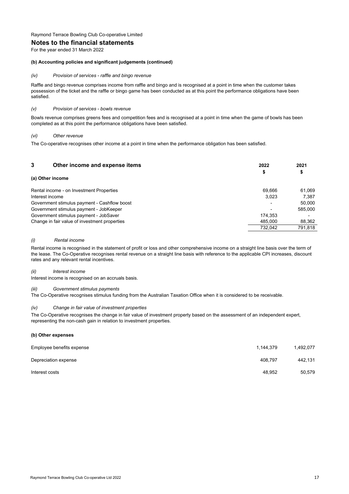# **Notes to the financial statements**

For the year ended 31 March 2022

#### **(b) Accounting policies and significant judgements (continued)**

#### *(iv) Provision of services - raffle and bingo revenue*

Raffle and bingo revenue comprises income from raffle and bingo and is recognised at a point in time when the customer takes possession of the ticket and the raffle or bingo game has been conducted as at this point the performance obligations have been satisfied.

#### *(v) Provision of services - bowls revenue*

Bowls revenue comprises greens fees and competition fees and is recognised at a point in time when the game of bowls has been completed as at this point the performance obligations have been satisfied.

#### *(vi) Other revenue*

The Co-operative recognises other income at a point in time when the performance obligation has been satisfied.

| 3<br>Other income and expense items           | 2022<br>\$ | 2021<br>\$ |
|-----------------------------------------------|------------|------------|
| (a) Other income                              |            |            |
| Rental income - on Investment Properties      | 69.666     | 61,069     |
| Interest income                               | 3.023      | 7.387      |
| Government stimulus payment - Cashflow boost  |            | 50.000     |
| Government stimulus payment - JobKeeper       |            | 585.000    |
| Government stimulus payment - JobSaver        | 174.353    |            |
| Change in fair value of investment properties | 485.000    | 88,362     |
|                                               | 732.042    | 791.818    |

#### *(i) Rental income*

Rental income is recognised in the statement of profit or loss and other comprehensive income on a straight line basis over the term of the lease. The Co-Operative recognises rental revenue on a straight line basis with reference to the applicable CPI increases, discount rates and any relevant rental incentives.

#### *(ii) Interest income*

Interest income is recognised on an accruals basis.

#### *(iii) Government stimulus payments*

The Co-Operative recognises stimulus funding from the Australian Taxation Office when it is considered to be receivable.

#### *(iv) Change in fair value of investment properties*

The Co-Operative recognises the change in fair value of investment property based on the assessment of an independent expert, representing the non-cash gain in relation to investment properties.

#### **(b) Other expenses**

| Employee benefits expense | 1.144.379 | 1.492.077 |
|---------------------------|-----------|-----------|
| Depreciation expense      | 408.797   | 442.131   |
| Interest costs            | 48.952    | 50.579    |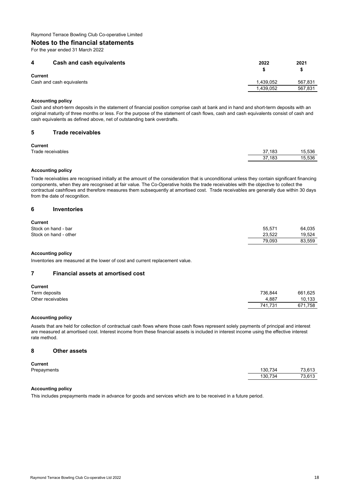# **Notes to the financial statements**

For the year ended 31 March 2022

| 4       | Cash and cash equivalents | 2022      | 2021    |
|---------|---------------------------|-----------|---------|
| Current |                           |           |         |
|         | Cash and cash equivalents | 1.439.052 | 567.831 |
|         |                           | 1.439.052 | 567,831 |

### **Accounting policy**

Cash and short-term deposits in the statement of financial position comprise cash at bank and in hand and short-term deposits with an original maturity of three months or less. For the purpose of the statement of cash flows, cash and cash equivalents consist of cash and cash equivalents as defined above, net of outstanding bank overdrafts.

#### **5 Trade receivables**

#### **Current**

| <b>VULLELLE</b>   |        |                          |
|-------------------|--------|--------------------------|
| Trade receivables | 37.183 | 15.536<br>$\overline{a}$ |
|                   | 37,183 | 15.536                   |
|                   |        |                          |

### **Accounting policy**

Trade receivables are recognised initially at the amount of the consideration that is unconditional unless they contain significant financing components, when they are recognised at fair value. The Co-Operative holds the trade receivables with the objective to collect the contractual cashflows and therefore measures them subsequently at amortised cost. Trade receivables are generally due within 30 days from the date of recognition.

#### **6 Inventories**

# **Current**

| <b>VUITEIIL</b>       |        |        |
|-----------------------|--------|--------|
| Stock on hand - bar   | 55.571 | 64.035 |
| Stock on hand - other | 23.522 | 19.524 |
|                       | 79.093 | 83.559 |

#### **Accounting policy**

Inventories are measured at the lower of cost and current replacement value.

# **7 Financial assets at amortised cost**

| <b>Current</b>    |         |         |
|-------------------|---------|---------|
| Term deposits     | 736.844 | 661.625 |
| Other receivables | 4.887   | 10.133  |
|                   | 741.731 | 671,758 |

#### **Accounting policy**

Assets that are held for collection of contractual cash flows where those cash flows represent solely payments of principal and interest are measured at amortised cost. Interest income from these financial assets is included in interest income using the effective interest rate method.

#### **8 Other assets**

#### **Current**

| repayments |  |
|------------|--|
|------------|--|

| Prepayments | 130.734 | 73.613 |
|-------------|---------|--------|
|             | 130.734 | 73.613 |
|             |         |        |

# **Accounting policy**

This includes prepayments made in advance for goods and services which are to be received in a future period.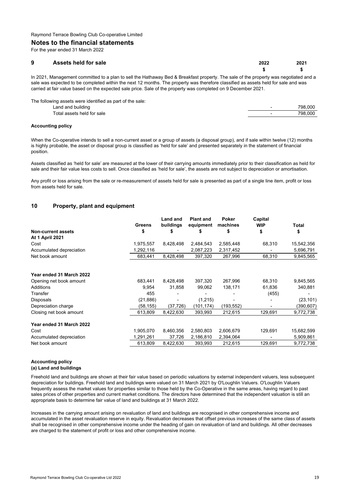#### **Notes to the financial statements**

For the year ended 31 March 2022

| 9 | <b>Assets held for sale</b> | 2022 | 2021 |
|---|-----------------------------|------|------|
|   |                             |      |      |

In 2021, Management committed to a plan to sell the Hathaway Bed & Breakfast property. The sale of the property was negotiated and a sale was expected to be completed within the next 12 months. The property was therefore classified as assets held for sale and was carried at fair value based on the expected sale price. Sale of the property was completed on 9 December 2021.

| The following assets were identified as part of the sale: |                          |         |
|-----------------------------------------------------------|--------------------------|---------|
| Land and building                                         | $\overline{\phantom{0}}$ | 798.000 |
| Total assets held for sale                                | $\overline{\phantom{0}}$ | 798.000 |
|                                                           |                          |         |

#### **Accounting policy**

When the Co-operative intends to sell a non-current asset or a group of assets (a disposal group), and if sale within twelve (12) months is highly probable, the asset or disposal group is classified as 'held for sale' and presented separately in the statement of financial position.

Assets classified as 'held for sale' are measured at the lower of their carrying amounts immediately prior to their classification as held for sale and their fair value less costs to sell. Once classified as 'held for sale', the assets are not subject to depreciation or amortisation.

Any profit or loss arising from the sale or re-measurement of assets held for sale is presented as part of a single line item, profit or loss from assets held for sale.

# **10 Property, plant and equipment**

|                           | <b>Greens</b> | <b>Land and</b><br>buildings | <b>Plant and</b><br>equipment | Poker<br>machines | Capital<br><b>WIP</b> | Total      |
|---------------------------|---------------|------------------------------|-------------------------------|-------------------|-----------------------|------------|
| <b>Non-current assets</b> | \$            | \$                           | \$                            | \$                | \$                    | \$         |
|                           |               |                              |                               |                   |                       |            |
| <b>At 1 April 2021</b>    |               |                              |                               |                   |                       |            |
| Cost                      | 1,975,557     | 8,428,498                    | 2,484,543                     | 2,585,448         | 68,310                | 15,542,356 |
| Accumulated depreciation  | 1,292,116     |                              | 2,087,223                     | 2,317,452         |                       | 5,696,791  |
| Net book amount           | 683,441       | 8,428,498                    | 397,320                       | 267,996           | 68,310                | 9,845,565  |
|                           |               |                              |                               |                   |                       |            |
| Year ended 31 March 2022  |               |                              |                               |                   |                       |            |
| Opening net book amount   | 683,441       | 8,428,498                    | 397,320                       | 267,996           | 68,310                | 9,845,565  |
| Additions                 | 9.954         | 31,858                       | 99,062                        | 138,171           | 61,836                | 340,881    |
| Transfer                  | 455           |                              |                               |                   | (455)                 |            |
| Disposals                 | (21, 886)     |                              | (1,215)                       |                   |                       | (23, 101)  |
| Depreciation charge       | (58,155)      | (37, 726)                    | (101, 174)                    | (193, 552)        |                       | (390,607)  |
| Closing net book amount   | 613,809       | 8,422,630                    | 393,993                       | 212,615           | 129,691               | 9,772,738  |
| Year ended 31 March 2022  |               |                              |                               |                   |                       |            |
| Cost                      | 1,905,070     | 8,460,356                    | 2,580,803                     | 2,606,679         | 129,691               | 15,682,599 |
| Accumulated depreciation  | 1,291,261     | 37,726                       | 2,186,810                     | 2,394,064         |                       | 5,909,861  |
| Net book amount           | 613,809       | 8,422,630                    | 393,993                       | 212,615           | 129,691               | 9,772,738  |

#### **Accounting policy (a) Land and buildings**

Freehold land and buildings are shown at their fair value based on periodic valuations by external independent valuers, less subsequent depreciation for buildings. Freehold land and buildings were valued on 31 March 2021 by O'Loughlin Valuers. O'Loughlin Valuers frequently assess the market values for properties similar to those held by the Co-Operative in the same areas, having regard to past sales prices of other properties and current market conditions. The directors have determined that the independent valuation is still an appropriate basis to determine fair value of land and buildings at 31 March 2022.

Increases in the carrying amount arising on revaluation of land and buildings are recognised in other comprehensive income and accumulated in the asset revaluation reserve in equity. Revaluation decreases that offset previous increases of the same class of assets shall be recognised in other comprehensive income under the heading of gain on revaluation of land and buildings. All other decreases are charged to the statement of profit or loss and other comprehensive income.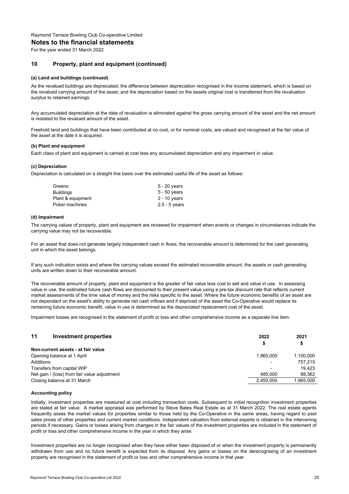#### **Notes to the financial statements**

For the year ended 31 March 2022

### **10 Property, plant and equipment (continued)**

#### **(a) Land and buildings (continued)**

As the revalued buildings are depreciated, the difference between depreciation recognised in the income statement, which is based on the revalued carrying amount of the asset, and the depreciation based on the assets original cost is transferred from the revaluation surplus to retained earnings.

Any accumulated depreciation at the date of revaluation is eliminated against the gross carrying amount of the asset and the net amount is restated to the revalued amount of the asset.

Freehold land and buildings that have been contributed at no cost, or for nominal costs, are valued and recognised at the fair value of the asset at the date it is acquired.

#### **(b) Plant and equipment**

Each class of plant and equipment is carried at cost less any accumulated depreciation and any impairment in value.

#### **(c) Depreciation**

Depreciation is calculated on a straight line basis over the estimated useful life of the asset as follows:

| Greens            | $5 - 20$ years  |
|-------------------|-----------------|
| Buildinas         | $5 - 50$ years  |
| Plant & equipment | $2 - 10$ years  |
| Poker machines    | $2.5 - 5$ years |

#### **(d) Impairment**

The carrying values of property, plant and equipment are reviewed for impairment when events or changes in circumstances indicate the carrying value may not be recoverable.

For an asset that does not generate largely independent cash in flows, the recoverable amount is determined for the cash generating unit in which the asset belongs.

If any such indication exists and where the carrying values exceed the estimated recoverable amount, the assets or cash generating units are written down to their recoverable amount.

The recoverable amount of property, plant and equipment is the greater of fair value less cost to sell and value in use. In assessing value in use, the estimated future cash flows are discounted to their present value using a pre-tax discount rate that reflects current market assessments of the time value of money and the risks specific to the asset. Where the future economic benefits of an asset are not dependant on the asset's ability to generate net cash inflows and if deprived of the asset the Co-Operative would replace its remaining future economic benefit, value in use is determined as the depreciated replacement cost of the asset.

Impairment losses are recognised in the statement of profit or loss and other comprehensive income as a separate line item.

| 11<br>Investment properties                  | 2022<br>\$ | 2021<br>Ð |
|----------------------------------------------|------------|-----------|
| Non-current assets - at fair value           |            |           |
| Opening balance at 1 April                   | 1.965.000  | 1.100.000 |
| Additions                                    |            | 757.215   |
| Transfers from capital WIP                   |            | 19.423    |
| Net gain / (loss) from fair value adjustment | 485.000    | 88.362    |
| Closing balance at 31 March                  | 2.450.000  | 1.965.000 |

#### **Accounting policy**

Initially, investment properties are measured at cost including transaction costs. Subsequent to initial recognition investment properties are stated at fair value. A market appraisal was performed by Steve Bates Real Estate as at 31 March 2022. The real estate agents frequently asses the market values for properties similar to those held by the Co-Operative in the same areas, having regard to past sales prices of other properties and current market conditions. Independent valuation from external experts is obtained in the intervening periods if necessary. Gains or losses arising from changes in the fair values of the investment properties are included in the statement of profit or loss and other comprehensive income in the year in which they arise.

Investment properties are no longer recognised when they have either been disposed of or when the investment property is permanently withdrawn from use and no future benefit is expected from its disposal. Any gains or losses on the derecognising of an investment property are recognised in the statement of profit or loss and other comprehensive income in that year.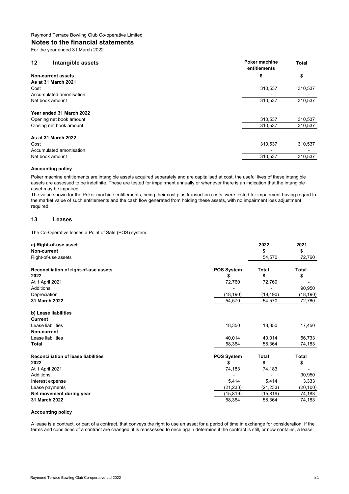# **Notes to the financial statements**

For the year ended 31 March 2022

| $12 \,$                 | Intangible assets                                                              | Poker machine<br>entitlements | <b>Total</b>       |
|-------------------------|--------------------------------------------------------------------------------|-------------------------------|--------------------|
|                         | <b>Non-current assets</b>                                                      | \$                            | \$                 |
|                         | As at 31 March 2021                                                            |                               |                    |
| Cost                    |                                                                                | 310,537                       | 310,537            |
|                         | Accumulated amortisation                                                       |                               |                    |
| Net book amount         |                                                                                | 310,537                       | 310,537            |
|                         | Year ended 31 March 2022<br>Opening net book amount<br>Closing net book amount | 310,537<br>310,537            | 310,537<br>310,537 |
| Cost<br>Net book amount | As at 31 March 2022<br>Accumulated amortisation                                | 310,537<br>310,537            | 310,537<br>310,537 |

#### **Accounting policy**

Poker machine entitlements are intangible assets acquired separately and are capitalised at cost, the useful lives of these intangible assets are assessed to be indefinite. These are tested for impairment annually or whenever there is an indication that the intangible asset may be impaired.

The value shown for the Poker machine entitlements, being their cost plus transaction costs, were tested for impairment having regard to the market value of such entitlements and the cash flow generated from holding these assets, with no impairment loss adjustment required.

### **13 Leases**

The Co-Operative leases a Point of Sale (POS) system.

| a) Right-of-use asset                      |                   | 2022         | 2021         |
|--------------------------------------------|-------------------|--------------|--------------|
| Non-current                                |                   | \$           | \$           |
| Right-of-use assets                        |                   | 54,570       | 72,760       |
| Reconciliation of right-of-use assets      | <b>POS System</b> | Total        | <b>Total</b> |
| 2022                                       | S                 | \$           | \$           |
| At 1 April 2021                            | 72,760            | 72,760       |              |
| <b>Additions</b>                           |                   |              | 90,950       |
| Depreciation                               | (18, 190)         | (18, 190)    | (18, 190)    |
| 31 March 2022                              | 54,570            | 54,570       | 72,760       |
| b) Lease liabilities                       |                   |              |              |
| <b>Current</b>                             |                   |              |              |
| Lease liabilities                          | 18,350            | 18,350       | 17,450       |
| Non-current                                |                   |              |              |
| Lease liabilities                          | 40.014            | 40,014       | 56,733       |
| <b>Total</b>                               | 58,364            | 58,364       | 74,183       |
| <b>Reconciliation of lease liabilities</b> | <b>POS System</b> | <b>Total</b> | <b>Total</b> |
| 2022                                       | \$                | \$           | \$           |
| At 1 April 2021                            | 74,183            | 74,183       |              |
| <b>Additions</b>                           |                   |              | 90,950       |
| Interest expense                           | 5,414             | 5,414        | 3,333        |
| Lease payments                             | (21, 233)         | (21, 233)    | (20, 100)    |
| Net movement during year                   | (15, 819)         | (15, 819)    | 74,183       |
| 31 March 2022                              | 58,364            | 58,364       | 74,183       |

### **Accounting policy**

A lease is a contract, or part of a contract, that conveys the right to use an asset for a period of time in exchange for consideration. If the terms and conditions of a contract are changed, it is reassessed to once again determine if the contract is still, or now contains, a lease.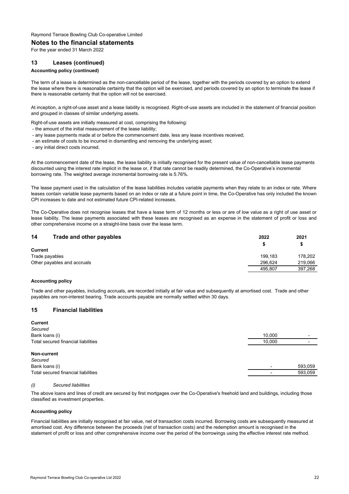#### **Notes to the financial statements**

For the year ended 31 March 2022

### **13 Leases (continued)**

### **Accounting policy (continued)**

The term of a lease is determined as the non-cancellable period of the lease, together with the periods covered by an option to extend the lease where there is reasonable certainty that the option will be exercised, and periods covered by an option to terminate the lease if there is reasonable certainty that the option will not be exercised.

At inception, a right-of-use asset and a lease liability is recognised. Right-of-use assets are included in the statement of financial position and grouped in classes of similar underlying assets.

- Right-of-use assets are initially measured at cost, comprising the following:
- the amount of the initial measurement of the lease liability;
- any lease payments made at or before the commencement date, less any lease incentives received;
- an estimate of costs to be incurred in dismantling and removing the underlying asset;
- any initial direct costs incurred.

At the commencement date of the lease, the lease liability is initially recognised for the present value of non-cancellable lease payments discounted using the interest rate implicit in the lease or, if that rate cannot be readily determined, the Co-Operative's incremental borrowing rate. The weighted average incremental borrowing rate is 5.76%.

The lease payment used in the calculation of the lease liabilities includes variable payments when they relate to an index or rate. Where leases contain variable lease payments based on an index or rate at a future point in time, the Co-Operative has only included the known CPI increases to date and not estimated future CPI-related increases.

The Co-Operative does not recognise leases that have a lease term of 12 months or less or are of low value as a right of use asset or lease liability. The lease payments associated with these leases are recognised as an expense in the statement of profit or loss and other comprehensive income on a straight-line basis over the lease term.

| 14<br>Trade and other payables | 2022    | 2021    |
|--------------------------------|---------|---------|
| <b>Current</b>                 |         |         |
| Trade payables                 | 199.183 | 178.202 |
| Other payables and accruals    | 296.624 | 219.066 |
|                                | 495.807 | 397,268 |

#### **Accounting policy**

Trade and other payables, including accruals, are recorded initially at fair value and subsequently at amortised cost. Trade and other payables are non-interest bearing. Trade accounts payable are normally settled within 30 days.

#### **15 Financial liabilities**

| <b>Current</b>                      |        |                          |
|-------------------------------------|--------|--------------------------|
| Secured                             |        |                          |
| Bank loans (i)                      | 10.000 | $\overline{\phantom{0}}$ |
| Total secured financial liabilities | 10,000 | $\overline{\phantom{0}}$ |
| Non-current                         |        |                          |
| Secured                             |        |                          |
| Bank loans (i)                      |        | 593,059                  |
| Total secured financial liabilities |        | 593,059                  |
|                                     |        |                          |

#### *(i) Secured liabilities*

The above loans and lines of credit are secured by first mortgages over the Co-Operative's freehold land and buildings, including those classified as investment properties.

#### **Accounting policy**

Financial liabilities are initially recognised at fair value, net of transaction costs incurred. Borrowing costs are subsequently measured at amortised cost. Any difference between the proceeds (net of transaction costs) and the redemption amount is recognised in the statement of profit or loss and other comprehensive income over the period of the borrowings using the effective interest rate method.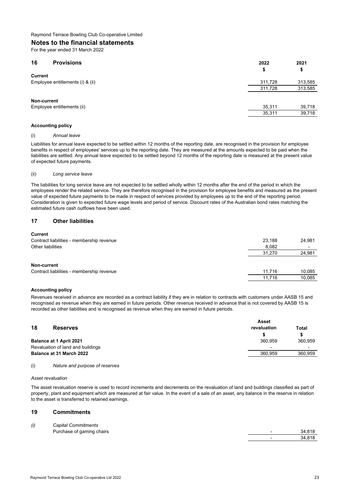# **Notes to the financial statements**

For the year ended 31 March 2022

| 16                               | <b>Provisions</b>          | 2022<br>\$ | 2021<br>\$ |
|----------------------------------|----------------------------|------------|------------|
| <b>Current</b>                   |                            |            |            |
| Employee entitlements (i) & (ii) | 311,728                    | 313,585    |            |
|                                  |                            | 311,728    | 313,585    |
|                                  |                            |            |            |
| Non-current                      |                            |            |            |
|                                  | Employee entitlements (ii) | 35.311     | 39,718     |
|                                  |                            | 35,311     | 39,718     |
|                                  |                            |            |            |

### **Accounting policy**

#### (i) *Annual leave*

Liabilities for annual leave expected to be settled within 12 months of the reporting date, are recognised in the provision for employee benefits in respect of employees' services up to the reporting date. They are measured at the amounts expected to be paid when the liabilities are settled. Any annual leave expected to be settled beyond 12 months of the reporting date is measured at the present value of expected future payments.

#### (ii) *Long service leave*

The liabilities for long service leave are not expected to be settled wholly within 12 months after the end of the period in which the employees render the related service. They are therefore recognised in the provision for employee benefits and measured as the present value of expected future payments to be made in respect of services provided by employees up to the end of the reporting period. Consideration is given to expected future wage levels and period of service. Discount rates of the Australian bond rates matching the estimated future cash outflows have been used.

# **17 Other liabilities**

#### **Current**

| Contract liabilities - membership revenue | 23.188 | 24.981                   |
|-------------------------------------------|--------|--------------------------|
| Other liabilities                         | 8.082  | $\overline{\phantom{a}}$ |
|                                           | 31.270 | 24,981                   |
|                                           |        |                          |
| Non-current                               |        |                          |
| Contract liabilities - membership revenue | 11.716 | 10,085                   |
|                                           | 11.716 | 10,085                   |

#### **Accounting policy**

Revenues received in advance are recorded as a contract liability if they are in relation to contracts with customers under AASB 15 and recognised as revenue when they are earned in future periods. Other revenue received in advance that is not covered by AASB 15 is recorded as other liabilities and is recognised as revenue when they are earned in future periods.

|    |                                   | Asset                    |                          |  |
|----|-----------------------------------|--------------------------|--------------------------|--|
| 18 | <b>Reserves</b>                   | revaluation              | Total                    |  |
|    |                                   |                          |                          |  |
|    | Balance at 1 April 2021           | 360.959                  | 360.959                  |  |
|    | Revaluation of land and buildings | $\overline{\phantom{a}}$ | $\overline{\phantom{0}}$ |  |
|    | Balance at 31 March 2022          | 360.959                  | 360.959                  |  |
|    |                                   |                          |                          |  |

#### (i) *Nature and purpose of reserves*

#### *Asset revaluation*

The asset revaluation reserve is used to record increments and decrements on the revaluation of land and buildings classified as part of property, plant and equipment which are measured at fair value. In the event of a sale of an asset, any balance in the reserve in relation to the asset is transferred to retained earnings.

### **19 Commitments**

| (i) | <b>Capital Commitments</b> |                          |        |
|-----|----------------------------|--------------------------|--------|
|     | Purchase of gaming chairs  | -                        | 34.818 |
|     |                            | $\overline{\phantom{0}}$ | 34.818 |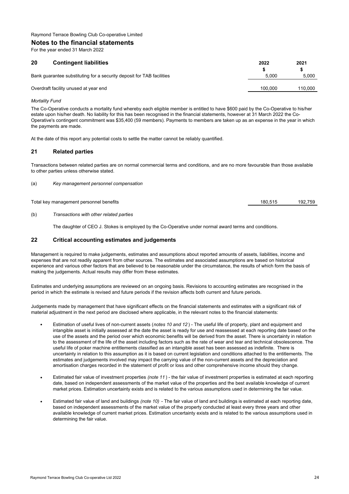### **Notes to the financial statements**

For the year ended 31 March 2022

| 20<br><b>Contingent liabilities</b>                                   | 2022    | 2021    |
|-----------------------------------------------------------------------|---------|---------|
| Bank quarantee substituting for a security deposit for TAB facilities | 5.000   | 5.000   |
| Overdraft facility unused at year end                                 | 100.000 | 110.000 |
|                                                                       |         |         |

### *Mortality Fund*

The Co-Operative conducts a mortality fund whereby each eligible member is entitled to have \$600 paid by the Co-Operative to his/her estate upon his/her death. No liability for this has been recognised in the financial statements, however at 31 March 2022 the Co-Operative's contingent commitment was \$35,400 (59 members). Payments to members are taken up as an expense in the year in which the payments are made.

At the date of this report any potential costs to settle the matter cannot be reliably quantified.

# **21 Related parties**

Transactions between related parties are on normal commercial terms and conditions, and are no more favourable than those available to other parties unless otherwise stated.

(a) *Key management personnel compensation*

Total key management personnel benefits 192,759 192,759 192,759 192,759 192,759 192,759

(b) *Transactions with other related parties*

The daughter of CEO J. Stokes is employed by the Co-Operative under normal award terms and conditions.

# **22 Critical accounting estimates and judgements**

Management is required to make judgements, estimates and assumptions about reported amounts of assets, liabilities, income and expenses that are not readily apparent from other sources. The estimates and associated assumptions are based on historical experience and various other factors that are believed to be reasonable under the circumstance, the results of which form the basis of making the judgements. Actual results may differ from these estimates.

Estimates and underlying assumptions are reviewed on an ongoing basis. Revisions to accounting estimates are recognised in the period in which the estimate is revised and future periods if the revision affects both current and future periods.

Judgements made by management that have significant effects on the financial statements and estimates with a significant risk of material adjustment in the next period are disclosed where applicable, in the relevant notes to the financial statements:

- Estimation of useful lives of non-current assets (*notes 10 and 12* ) - The useful life of property, plant and equipment and intangible asset is initially assessed at the date the asset is ready for use and reassessed at each reporting date based on the use of the assets and the period over which economic benefits will be derived from the asset. There is uncertainty in relation to the assessment of the life of the asset including factors such as the rate of wear and tear and technical obsolescence. The useful life of poker machine entitlements classified as an intangible asset has been assessed as indefinite. There is uncertainty in relation to this assumption as it is based on current legislation and conditions attached to the entitlements. The estimates and judgements involved may impact the carrying value of the non-current assets and the depreciation and amortisation charges recorded in the statement of profit or loss and other comprehensive income should they change.
- Estimated fair value of investment properties *(note 11* ) - the fair value of investment properties is estimated at each reporting date, based on independent assessments of the market value of the properties and the best available knowledge of current market prices. Estimation uncertainty exists and is related to the various assumptions used in determining the fair value.
- Estimated fair value of land and buildings *(note 10)* - The fair value of land and buildings is estimated at each reporting date, based on independent assessments of the market value of the property conducted at least every three years and other available knowledge of current market prices. Estimation uncertainty exists and is related to the various assumptions used in determining the fair value.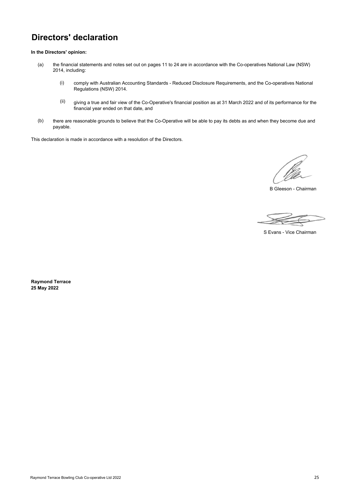# **Directors' declaration**

**In the Directors' opinion:**

- (a) the financial statements and notes set out on pages 11 to 24 are in accordance with the Co-operatives National Law (NSW) 2014, including:
	- (i) comply with Australian Accounting Standards - Reduced Disclosure Requirements, and the Co-operatives National Regulations (NSW) 2014.
	- (ii) giving a true and fair view of the Co-Operative's financial position as at 31 March 2022 and of its performance for the financial year ended on that date, and
- (b) there are reasonable grounds to believe that the Co-Operative will be able to pay its debts as and when they become due and payable.

This declaration is made in accordance with a resolution of the Directors.

B Gleeson - Chairman

S Evans - Vice Chairman

**Raymond Terrace 25 May 2022**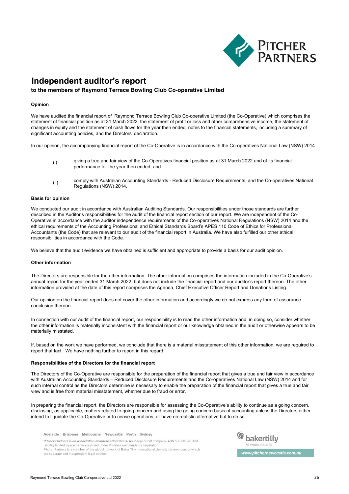

# **Independent auditor's report**

# **to the members of Raymond Terrace Bowling Club Co-operative Limited**

#### **Opinion**

We have audited the financial report of Raymond Terrace Bowling Club Co-operative Limited (the Co-Operative) which comprises the statement of financial position as at 31 March 2022, the statement of profit or loss and other comprehensive income, the statement of changes in equity and the statement of cash flows for the year then ended, notes to the financial statements, including a summary of significant accounting policies, and the Directors' declaration.

In our opinion, the accompanying financial report of the Co-Operative is in accordance with the Co-operatives National Law (NSW) 2014

- (i) giving a true and fair view of the Co-Operatives financial position as at 31 March 2022 and of its financial performance for the year then ended; and
- (ii) comply with Australian Accounting Standards - Reduced Disclosure Requirements, and the Co-operatives National Regulations (NSW) 2014.

#### **Basis for opinion**

We conducted our audit in accordance with Australian Auditing Standards. Our responsibilities under those standards are further described in the Auditor's responsibilities for the audit of the financial report section of our report. We are independent of the Co-Operative in accordance with the auditor independence requirements of the Co-operatives National Regulations (NSW) 2014 and the ethical requirements of the Accounting Professional and Ethical Standards Board's APES 110 Code of Ethics for Professional Accountants (the Code) that are relevant to our audit of the financial report in Australia. We have also fulfilled our other ethical responsibilities in accordance with the Code.

We believe that the audit evidence we have obtained is sufficient and appropriate to provide a basis for our audit opinion.

#### **Other information**

The Directors are responsible for the other information. The other information comprises the information included in the Co-Operative's annual report for the year ended 31 March 2022, but does not include the financial report and our auditor's report thereon. The other information provided at the date of this report comprises the Agenda, Chief Executive Officer Report and Donations Listing.

Our opinion on the financial report does not cover the other information and accordingly we do not express any form of assurance conclusion thereon.

In connection with our audit of the financial report, our responsibility is to read the other information and, in doing so, consider whether the other information is materially inconsistent with the financial report or our knowledge obtained in the audit or otherwise appears to be materially misstated.

If, based on the work we have performed, we conclude that there is a material misstatement of this other information, we are required to report that fact. We have nothing further to report in this regard.

#### **Responsibilities of the Directors for the financial report**

The Directors of the Co-Operative are responsible for the preparation of the financial report that gives a true and fair view in accordance with Australian Accounting Standards – Reduced Disclosure Requirements and the Co-operatives National Law (NSW) 2014 and for such internal control as the Directors determine is necessary to enable the preparation of the financial report that gives a true and fair view and is free from material misstatement, whether due to fraud or error.

In preparing the financial report, the Directors are responsible for assessing the Co-Operative's ability to continue as a going concern, disclosing, as applicable, matters related to going concern and using the going concern basis of accounting unless the Directors either intend to liquidate the Co-Operative or to cease operations, or have no realistic alternative but to do so.

Adelaide Brisbane Melbourne Newcastle Perth Sydney

Pitcher Partners is an association of independent firms. An independent company. ABN 53 001 876 320. Liability limited by a scheme approved under Professional Standards Legislation Pitcher Partners is a member of the global network of Baker Tilly International Limited, the members of which are separate and independent legal entities.



www.pitchernewcastle.com.au